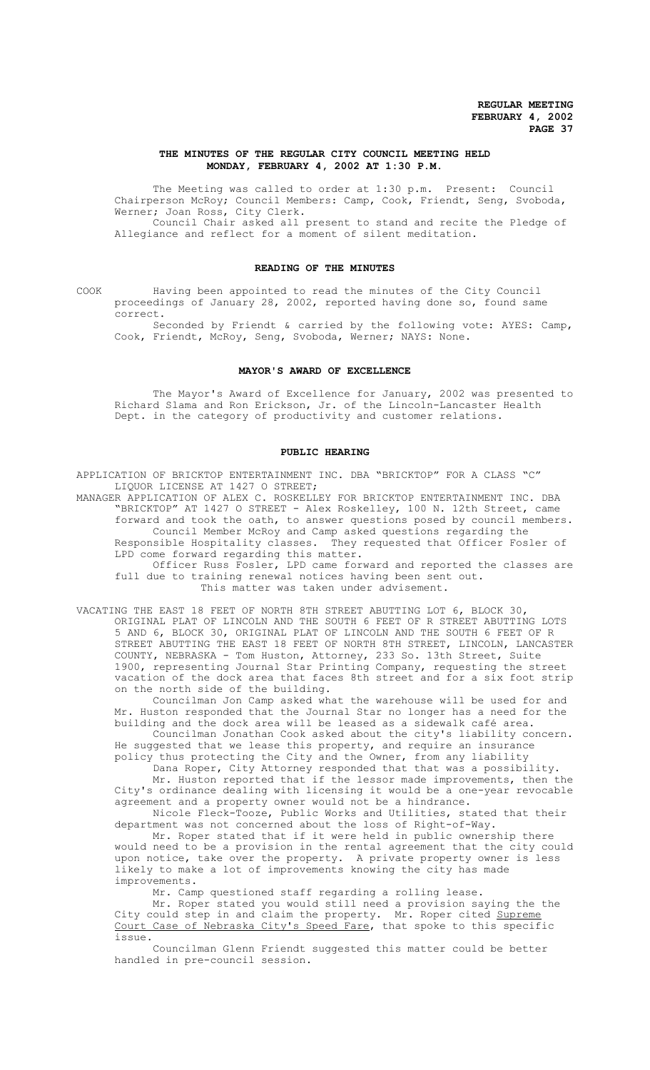### **THE MINUTES OF THE REGULAR CITY COUNCIL MEETING HELD MONDAY, FEBRUARY 4, 2002 AT 1:30 P.M.**

The Meeting was called to order at 1:30 p.m. Present: Council Chairperson McRoy; Council Members: Camp, Cook, Friendt, Seng, Svoboda, Werner; Joan Ross, City Clerk.

Council Chair asked all present to stand and recite the Pledge of Allegiance and reflect for a moment of silent meditation.

### **READING OF THE MINUTES**

COOK Having been appointed to read the minutes of the City Council proceedings of January 28, 2002, reported having done so, found same correct.

Seconded by Friendt & carried by the following vote: AYES: Camp, Cook, Friendt, McRoy, Seng, Svoboda, Werner; NAYS: None.

#### **MAYOR'S AWARD OF EXCELLENCE**

 The Mayor's Award of Excellence for January, 2002 was presented to Richard Slama and Ron Erickson, Jr. of the Lincoln-Lancaster Health Dept. in the category of productivity and customer relations.

#### **PUBLIC HEARING**

APPLICATION OF BRICKTOP ENTERTAINMENT INC. DBA "BRICKTOP" FOR A CLASS "C" LIQUOR LICENSE AT 1427 O STREET;

MANAGER APPLICATION OF ALEX C. ROSKELLEY FOR BRICKTOP ENTERTAINMENT INC. DBA "BRICKTOP" AT 1427 O STREET - Alex Roskelley, 100 N. 12th Street, came forward and took the oath, to answer questions posed by council members. Council Member McRoy and Camp asked questions regarding the Responsible Hospitality classes. They requested that Officer Fosler of LPD come forward regarding this matter.

Officer Russ Fosler, LPD came forward and reported the classes are full due to training renewal notices having been sent out. This matter was taken under advisement.

VACATING THE EAST 18 FEET OF NORTH 8TH STREET ABUTTING LOT 6, BLOCK 30, ORIGINAL PLAT OF LINCOLN AND THE SOUTH 6 FEET OF R STREET ABUTTING LOTS 5 AND 6, BLOCK 30, ORIGINAL PLAT OF LINCOLN AND THE SOUTH 6 FEET OF R STREET ABUTTING THE EAST 18 FEET OF NORTH 8TH STREET, LINCOLN, LANCASTER COUNTY, NEBRASKA - Tom Huston, Attorney, 233 So. 13th Street, Suite 1900, representing Journal Star Printing Company, requesting the street vacation of the dock area that faces 8th street and for a six foot strip on the north side of the building.

Councilman Jon Camp asked what the warehouse will be used for and Mr. Huston responded that the Journal Star no longer has a need for the building and the dock area will be leased as a sidewalk café area.

Councilman Jonathan Cook asked about the city's liability concern. He suggested that we lease this property, and require an insurance policy thus protecting the City and the Owner, from any liability

Dana Roper, City Attorney responded that that was a possibility. Mr. Huston reported that if the lessor made improvements, then the

City's ordinance dealing with licensing it would be a one-year revocable agreement and a property owner would not be a hindrance. Nicole Fleck-Tooze, Public Works and Utilities, stated that their

department was not concerned about the loss of Right-of-Way. Mr. Roper stated that if it were held in public ownership there

would need to be a provision in the rental agreement that the city could upon notice, take over the property. A private property owner is less likely to make a lot of improvements knowing the city has made improvements.

Mr. Camp questioned staff regarding a rolling lease.

Mr. Roper stated you would still need a provision saying the the City could step in and claim the property. Mr. Roper cited Supreme Court Case of Nebraska City's Speed Fare, that spoke to this specific issue.

Councilman Glenn Friendt suggested this matter could be better handled in pre-council session.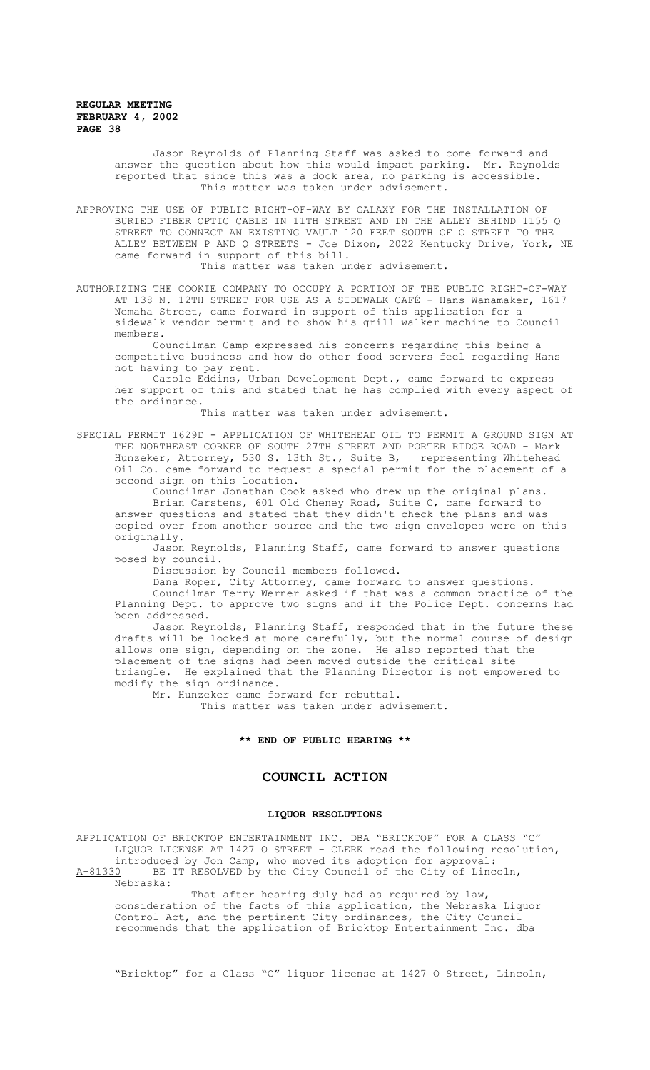Jason Reynolds of Planning Staff was asked to come forward and answer the question about how this would impact parking. Mr. Reynolds reported that since this was a dock area, no parking is accessible. This matter was taken under advisement.

APPROVING THE USE OF PUBLIC RIGHT-OF-WAY BY GALAXY FOR THE INSTALLATION OF BURIED FIBER OPTIC CABLE IN 11TH STREET AND IN THE ALLEY BEHIND 1155 Q STREET TO CONNECT AN EXISTING VAULT 120 FEET SOUTH OF O STREET TO THE ALLEY BETWEEN P AND Q STREETS - Joe Dixon, 2022 Kentucky Drive, York, NE came forward in support of this bill.

This matter was taken under advisement.

AUTHORIZING THE COOKIE COMPANY TO OCCUPY A PORTION OF THE PUBLIC RIGHT-OF-WAY AT 138 N. 12TH STREET FOR USE AS A SIDEWALK CAFÉ - Hans Wanamaker, 1617 Nemaha Street, came forward in support of this application for a sidewalk vendor permit and to show his grill walker machine to Council members.

Councilman Camp expressed his concerns regarding this being a competitive business and how do other food servers feel regarding Hans not having to pay rent.

Carole Eddins, Urban Development Dept., came forward to express her support of this and stated that he has complied with every aspect of the ordinance.

This matter was taken under advisement.

SPECIAL PERMIT 1629D - APPLICATION OF WHITEHEAD OIL TO PERMIT A GROUND SIGN AT THE NORTHEAST CORNER OF SOUTH 27TH STREET AND PORTER RIDGE ROAD - Mark Hunzeker, Attorney, 530 S. 13th St., Suite B, representing Whitehead Oil Co. came forward to request a special permit for the placement of a second sign on this location.

Councilman Jonathan Cook asked who drew up the original plans. Brian Carstens, 601 Old Cheney Road, Suite C, came forward to answer questions and stated that they didn't check the plans and was copied over from another source and the two sign envelopes were on this originally.

Jason Reynolds, Planning Staff, came forward to answer questions posed by council.

Discussion by Council members followed.

Dana Roper, City Attorney, came forward to answer questions. Councilman Terry Werner asked if that was a common practice of the

Planning Dept. to approve two signs and if the Police Dept. concerns had been addressed. Jason Reynolds, Planning Staff, responded that in the future these

drafts will be looked at more carefully, but the normal course of design allows one sign, depending on the zone. He also reported that the placement of the signs had been moved outside the critical site triangle. He explained that the Planning Director is not empowered to modify the sign ordinance.

Mr. Hunzeker came forward for rebuttal.

This matter was taken under advisement.

# **\*\* END OF PUBLIC HEARING \*\***

## **COUNCIL ACTION**

### **LIQUOR RESOLUTIONS**

APPLICATION OF BRICKTOP ENTERTAINMENT INC. DBA "BRICKTOP" FOR A CLASS "C" LIQUOR LICENSE AT 1427 O STREET - CLERK read the following resolution, introduced by Jon Camp, who moved its adoption for approval: A-81330 BE IT RESOLVED by the City Council of the City of Lincoln,

Nebraska:

That after hearing duly had as required by law, consideration of the facts of this application, the Nebraska Liquor Control Act, and the pertinent City ordinances, the City Council recommends that the application of Bricktop Entertainment Inc. dba

"Bricktop" for a Class "C" liquor license at 1427 O Street, Lincoln,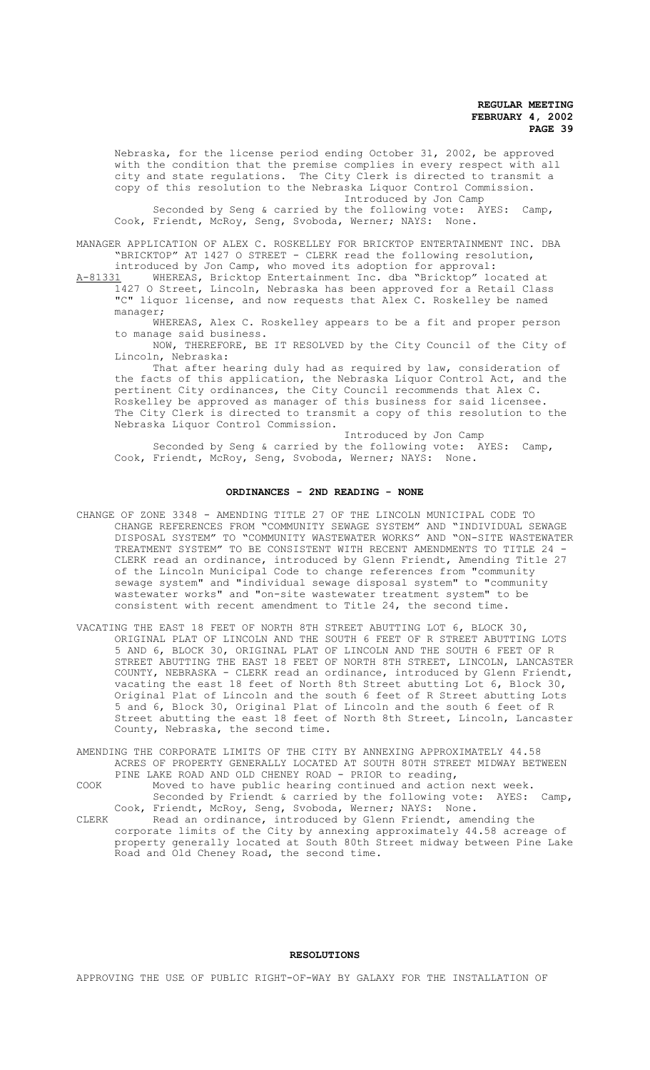Nebraska, for the license period ending October 31, 2002, be approved with the condition that the premise complies in every respect with all city and state regulations. The City Clerk is directed to transmit a copy of this resolution to the Nebraska Liquor Control Commission. Introduced by Jon Camp

Seconded by Seng & carried by the following vote: AYES: Camp, Cook, Friendt, McRoy, Seng, Svoboda, Werner; NAYS: None.

MANAGER APPLICATION OF ALEX C. ROSKELLEY FOR BRICKTOP ENTERTAINMENT INC. DBA "BRICKTOP" AT 1427 O STREET - CLERK read the following resolution,

introduced by Jon Camp, who moved its adoption for approval:<br>A-81331 WHEREAS, Bricktop Entertainment Inc. dba "Bricktop" lo WHEREAS, Bricktop Entertainment Inc. dba "Bricktop" located at 1427 O Street, Lincoln, Nebraska has been approved for a Retail Class "C" liquor license, and now requests that Alex C. Roskelley be named manager;

WHEREAS, Alex C. Roskelley appears to be a fit and proper person to manage said business.

NOW, THEREFORE, BE IT RESOLVED by the City Council of the City of Lincoln, Nebraska:

That after hearing duly had as required by law, consideration of the facts of this application, the Nebraska Liquor Control Act, and the pertinent City ordinances, the City Council recommends that Alex C. Roskelley be approved as manager of this business for said licensee. The City Clerk is directed to transmit a copy of this resolution to the Nebraska Liquor Control Commission.

Introduced by Jon Camp Seconded by Seng & carried by the following vote: AYES: Camp, Cook, Friendt, McRoy, Seng, Svoboda, Werner; NAYS: None.

#### **ORDINANCES - 2ND READING - NONE**

- CHANGE OF ZONE 3348 AMENDING TITLE 27 OF THE LINCOLN MUNICIPAL CODE TO CHANGE REFERENCES FROM "COMMUNITY SEWAGE SYSTEM" AND "INDIVIDUAL SEWAGE DISPOSAL SYSTEM" TO "COMMUNITY WASTEWATER WORKS" AND "ON-SITE WASTEWATER TREATMENT SYSTEM" TO BE CONSISTENT WITH RECENT AMENDMENTS TO TITLE 24 - CLERK read an ordinance, introduced by Glenn Friendt, Amending Title 27 of the Lincoln Municipal Code to change references from "community sewage system" and "individual sewage disposal system" to "community wastewater works" and "on-site wastewater treatment system" to be consistent with recent amendment to Title 24, the second time.
- VACATING THE EAST 18 FEET OF NORTH 8TH STREET ABUTTING LOT 6, BLOCK 30, ORIGINAL PLAT OF LINCOLN AND THE SOUTH 6 FEET OF R STREET ABUTTING LOTS 5 AND 6, BLOCK 30, ORIGINAL PLAT OF LINCOLN AND THE SOUTH 6 FEET OF R STREET ABUTTING THE EAST 18 FEET OF NORTH 8TH STREET, LINCOLN, LANCASTER COUNTY, NEBRASKA - CLERK read an ordinance, introduced by Glenn Friendt, vacating the east 18 feet of North 8th Street abutting Lot 6, Block 30, Original Plat of Lincoln and the south 6 feet of R Street abutting Lots 5 and 6, Block 30, Original Plat of Lincoln and the south 6 feet of R Street abutting the east 18 feet of North 8th Street, Lincoln, Lancaster County, Nebraska, the second time.
- AMENDING THE CORPORATE LIMITS OF THE CITY BY ANNEXING APPROXIMATELY 44.58 ACRES OF PROPERTY GENERALLY LOCATED AT SOUTH 80TH STREET MIDWAY BETWEEN PINE LAKE ROAD AND OLD CHENEY ROAD - PRIOR to reading,
- COOK Moved to have public hearing continued and action next week. Seconded by Friendt & carried by the following vote: AYES: Camp, Cook, Friendt, McRoy, Seng, Svoboda, Werner; NAYS: None.
- CLERK Read an ordinance, introduced by Glenn Friendt, amending the corporate limits of the City by annexing approximately 44.58 acreage of property generally located at South 80th Street midway between Pine Lake Road and Old Cheney Road, the second time.

#### **RESOLUTIONS**

APPROVING THE USE OF PUBLIC RIGHT-OF-WAY BY GALAXY FOR THE INSTALLATION OF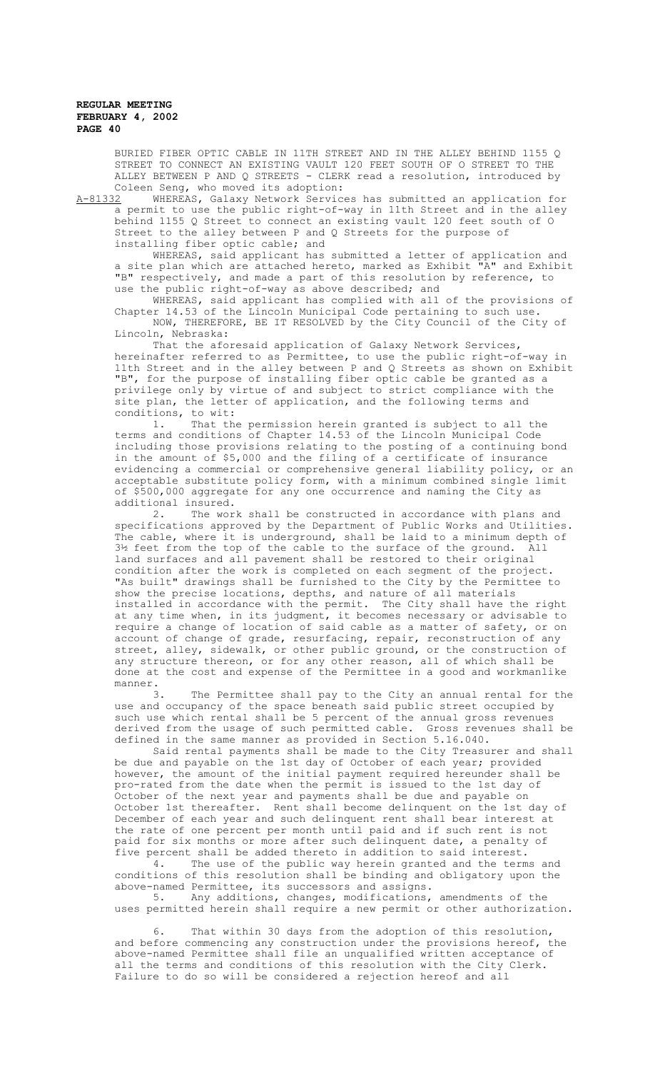BURIED FIBER OPTIC CABLE IN 11TH STREET AND IN THE ALLEY BEHIND 1155 Q STREET TO CONNECT AN EXISTING VAULT 120 FEET SOUTH OF O STREET TO THE ALLEY BETWEEN P AND Q STREETS - CLERK read a resolution, introduced by Coleen Seng, who moved its adoption:

A-81332 WHEREAS, Galaxy Network Services has submitted an application for a permit to use the public right-of-way in 11th Street and in the alley behind 1155 Q Street to connect an existing vault 120 feet south of O Street to the alley between P and Q Streets for the purpose of installing fiber optic cable; and

WHEREAS, said applicant has submitted a letter of application and a site plan which are attached hereto, marked as Exhibit "A" and Exhibit "B" respectively, and made a part of this resolution by reference, to use the public right-of-way as above described; and

WHEREAS, said applicant has complied with all of the provisions of Chapter 14.53 of the Lincoln Municipal Code pertaining to such use. NOW, THEREFORE, BE IT RESOLVED by the City Council of the City of Lincoln, Nebraska:

That the aforesaid application of Galaxy Network Services, hereinafter referred to as Permittee, to use the public right-of-way in 11th Street and in the alley between P and Q Streets as shown on Exhibit "B", for the purpose of installing fiber optic cable be granted as a privilege only by virtue of and subject to strict compliance with the site plan, the letter of application, and the following terms and conditions, to wit:<br>1. That the

That the permission herein granted is subject to all the terms and conditions of Chapter 14.53 of the Lincoln Municipal Code including those provisions relating to the posting of a continuing bond in the amount of \$5,000 and the filing of a certificate of insurance evidencing a commercial or comprehensive general liability policy, or an acceptable substitute policy form, with a minimum combined single limit of \$500,000 aggregate for any one occurrence and naming the City as additional insured.

2. The work shall be constructed in accordance with plans and specifications approved by the Department of Public Works and Utilities. The cable, where it is underground, shall be laid to a minimum depth of 3½ feet from the top of the cable to the surface of the ground. All land surfaces and all pavement shall be restored to their original condition after the work is completed on each segment of the project. "As built" drawings shall be furnished to the City by the Permittee to show the precise locations, depths, and nature of all materials installed in accordance with the permit. The City shall have the right at any time when, in its judgment, it becomes necessary or advisable to require a change of location of said cable as a matter of safety, or on account of change of grade, resurfacing, repair, reconstruction of any street, alley, sidewalk, or other public ground, or the construction of any structure thereon, or for any other reason, all of which shall be done at the cost and expense of the Permittee in a good and workmanlike manner.<br>3.

The Permittee shall pay to the City an annual rental for the use and occupancy of the space beneath said public street occupied by such use which rental shall be 5 percent of the annual gross revenues derived from the usage of such permitted cable. Gross revenues shall be defined in the same manner as provided in Section 5.16.040.

Said rental payments shall be made to the City Treasurer and shall be due and payable on the 1st day of October of each year; provided however, the amount of the initial payment required hereunder shall be pro-rated from the date when the permit is issued to the 1st day of October of the next year and payments shall be due and payable on October 1st thereafter. Rent shall become delinquent on the 1st day of December of each year and such delinquent rent shall bear interest at the rate of one percent per month until paid and if such rent is not paid for six months or more after such delinquent date, a penalty of five percent shall be added thereto in addition to said interest.<br>4. The use of the public way berein granted and the term

The use of the public way herein granted and the terms and conditions of this resolution shall be binding and obligatory upon the above-named Permittee, its successors and assigns.<br>5. Anv additions, changes, modifications,

Any additions, changes, modifications, amendments of the uses permitted herein shall require a new permit or other authorization.

6. That within 30 days from the adoption of this resolution, and before commencing any construction under the provisions hereof, the above-named Permittee shall file an unqualified written acceptance of all the terms and conditions of this resolution with the City Clerk. Failure to do so will be considered a rejection hereof and all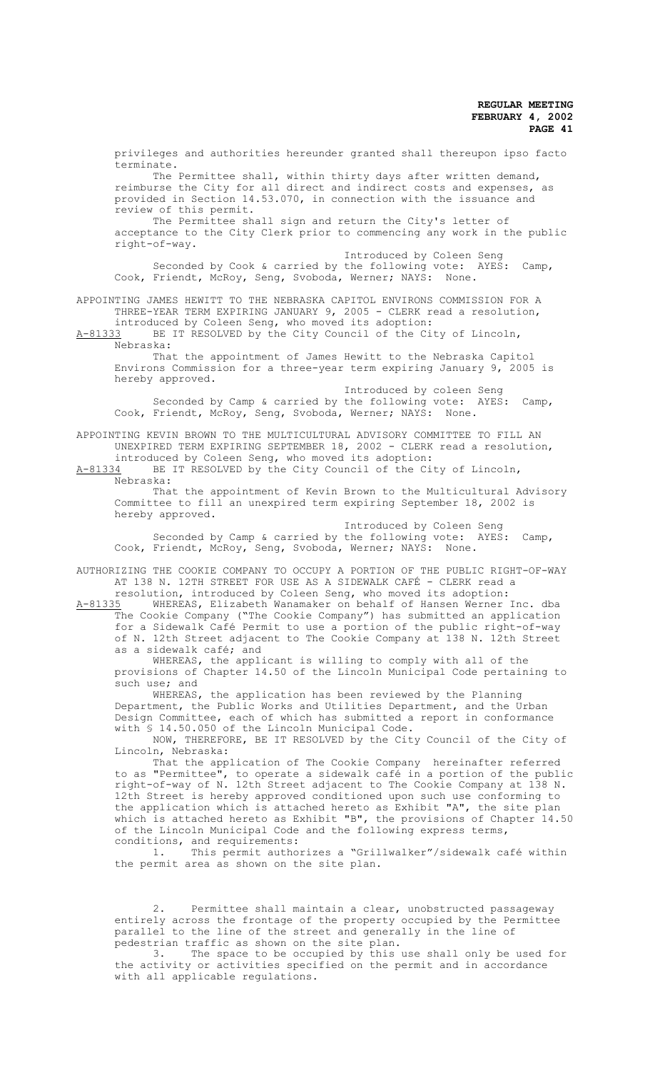privileges and authorities hereunder granted shall thereupon ipso facto terminate.

The Permittee shall, within thirty days after written demand, reimburse the City for all direct and indirect costs and expenses, as provided in Section 14.53.070, in connection with the issuance and review of this permit.

The Permittee shall sign and return the City's letter of acceptance to the City Clerk prior to commencing any work in the public right-of-way.

Introduced by Coleen Seng Seconded by Cook & carried by the following vote: AYES: Camp, Cook, Friendt, McRoy, Seng, Svoboda, Werner; NAYS: None.

APPOINTING JAMES HEWITT TO THE NEBRASKA CAPITOL ENVIRONS COMMISSION FOR A THREE-YEAR TERM EXPIRING JANUARY 9, 2005 - CLERK read a resolution, introduced by Coleen Seng, who moved its adoption:

A-81333 BE IT RESOLVED by the City Council of the City of Lincoln, Nebraska:

That the appointment of James Hewitt to the Nebraska Capitol Environs Commission for a three-year term expiring January 9, 2005 is hereby approved.

Introduced by coleen Seng Seconded by Camp & carried by the following vote: AYES: Camp, Cook, Friendt, McRoy, Seng, Svoboda, Werner; NAYS: None.

APPOINTING KEVIN BROWN TO THE MULTICULTURAL ADVISORY COMMITTEE TO FILL AN UNEXPIRED TERM EXPIRING SEPTEMBER 18, 2002 - CLERK read a resolution, introduced by Coleen Seng, who moved its adoption:

A-81334 BE IT RESOLVED by the City Council of the City of Lincoln, Nebraska:

That the appointment of Kevin Brown to the Multicultural Advisory Committee to fill an unexpired term expiring September 18, 2002 is hereby approved.

Introduced by Coleen Seng Seconded by Camp & carried by the following vote: AYES: Camp, Cook, Friendt, McRoy, Seng, Svoboda, Werner; NAYS: None.

AUTHORIZING THE COOKIE COMPANY TO OCCUPY A PORTION OF THE PUBLIC RIGHT-OF-WAY AT 138 N. 12TH STREET FOR USE AS A SIDEWALK CAFÉ - CLERK read a resolution, introduced by Coleen Seng, who moved its adoption:

A-81335 WHEREAS, Elizabeth Wanamaker on behalf of Hansen Werner Inc. dba The Cookie Company ("The Cookie Company") has submitted an application for a Sidewalk Café Permit to use a portion of the public right-of-way of N. 12th Street adjacent to The Cookie Company at 138 N. 12th Street as a sidewalk café; and

WHEREAS, the applicant is willing to comply with all of the provisions of Chapter 14.50 of the Lincoln Municipal Code pertaining to such use; and

WHEREAS, the application has been reviewed by the Planning Department, the Public Works and Utilities Department, and the Urban Design Committee, each of which has submitted a report in conformance with § 14.50.050 of the Lincoln Municipal Code.

NOW, THEREFORE, BE IT RESOLVED by the City Council of the City of Lincoln, Nebraska:

That the application of The Cookie Company hereinafter referred to as "Permittee", to operate a sidewalk café in a portion of the public right-of-way of N. 12th Street adjacent to The Cookie Company at 138 N. 12th Street is hereby approved conditioned upon such use conforming to the application which is attached hereto as Exhibit "A", the site plan which is attached hereto as Exhibit "B", the provisions of Chapter 14.50 of the Lincoln Municipal Code and the following express terms, conditions, and requirements:

1. This permit authorizes a "Grillwalker"/sidewalk café within the permit area as shown on the site plan.

Permittee shall maintain a clear, unobstructed passageway entirely across the frontage of the property occupied by the Permittee parallel to the line of the street and generally in the line of pedestrian traffic as shown on the site plan.

3. The space to be occupied by this use shall only be used for the activity or activities specified on the permit and in accordance with all applicable regulations.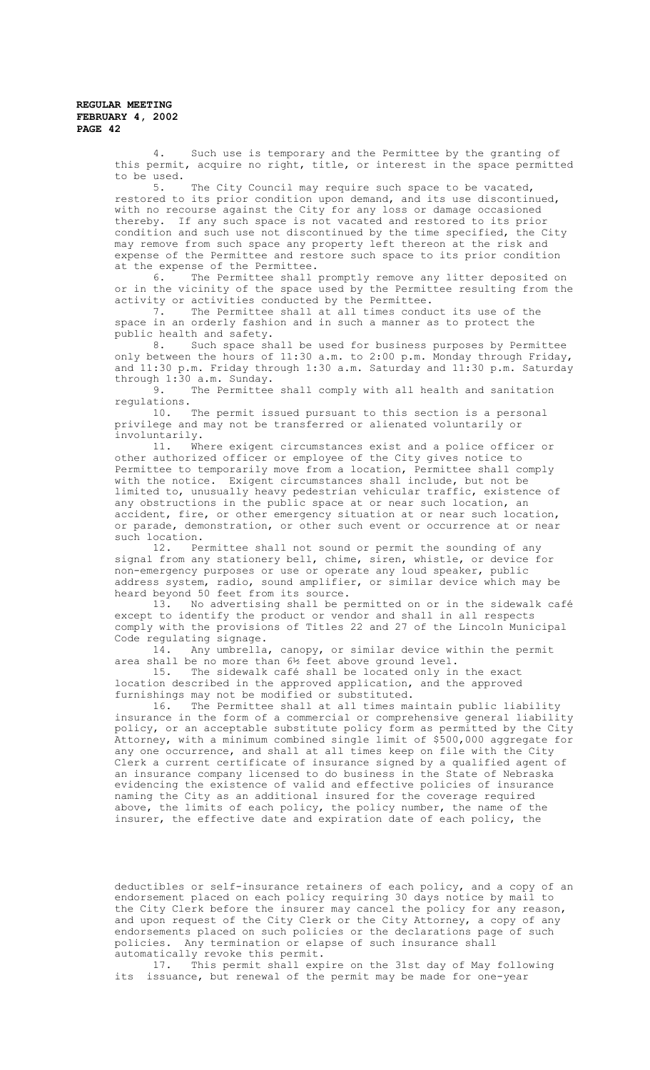4. Such use is temporary and the Permittee by the granting of this permit, acquire no right, title, or interest in the space permitted to be used.<br> $5.$ 

The City Council may require such space to be vacated, restored to its prior condition upon demand, and its use discontinued, with no recourse against the City for any loss or damage occasioned thereby. If any such space is not vacated and restored to its prior condition and such use not discontinued by the time specified, the City may remove from such space any property left thereon at the risk and expense of the Permittee and restore such space to its prior condition at the expense of the Permittee.<br>6. The Permittee shall

The Permittee shall promptly remove any litter deposited on or in the vicinity of the space used by the Permittee resulting from the activity or activities conducted by the Permittee.

7. The Permittee shall at all times conduct its use of the space in an orderly fashion and in such a manner as to protect the public health and safety.

8. Such space shall be used for business purposes by Permittee only between the hours of 11:30 a.m. to 2:00 p.m. Monday through Friday, and 11:30 p.m. Friday through 1:30 a.m. Saturday and 11:30 p.m. Saturday through  $1:30$  a.m. Sunday.<br>9 The Permittee

The Permittee shall comply with all health and sanitation regulations.

10. The permit issued pursuant to this section is a personal privilege and may not be transferred or alienated voluntarily or involuntarily.

11. Where exigent circumstances exist and a police officer or other authorized officer or employee of the City gives notice to Permittee to temporarily move from a location, Permittee shall comply with the notice. Exigent circumstances shall include, but not be limited to, unusually heavy pedestrian vehicular traffic, existence of any obstructions in the public space at or near such location, an accident, fire, or other emergency situation at or near such location, or parade, demonstration, or other such event or occurrence at or near such location.

12. Permittee shall not sound or permit the sounding of any signal from any stationery bell, chime, siren, whistle, or device for non-emergency purposes or use or operate any loud speaker, public address system, radio, sound amplifier, or similar device which may be heard beyond 50 feet from its source.

13. No advertising shall be permitted on or in the sidewalk café except to identify the product or vendor and shall in all respects comply with the provisions of Titles 22 and 27 of the Lincoln Municipal Code regulating signage.<br>14. Any umbrella.

Any umbrella, canopy, or similar device within the permit area shall be no more than 6½ feet above ground level.

15. The sidewalk café shall be located only in the exact location described in the approved application, and the approved furnishings may not be modified or substituted.<br>16. The Permittee shall at all times ma

The Permittee shall at all times maintain public liability insurance in the form of a commercial or comprehensive general liability policy, or an acceptable substitute policy form as permitted by the City Attorney, with a minimum combined single limit of \$500,000 aggregate for any one occurrence, and shall at all times keep on file with the City Clerk a current certificate of insurance signed by a qualified agent of an insurance company licensed to do business in the State of Nebraska evidencing the existence of valid and effective policies of insurance naming the City as an additional insured for the coverage required above, the limits of each policy, the policy number, the name of the insurer, the effective date and expiration date of each policy, the

deductibles or self-insurance retainers of each policy, and a copy of an endorsement placed on each policy requiring 30 days notice by mail to the City Clerk before the insurer may cancel the policy for any reason, and upon request of the City Clerk or the City Attorney, a copy of any endorsements placed on such policies or the declarations page of such policies. Any termination or elapse of such insurance shall automatically revoke this permit.

17. This permit shall expire on the 31st day of May following its issuance, but renewal of the permit may be made for one-year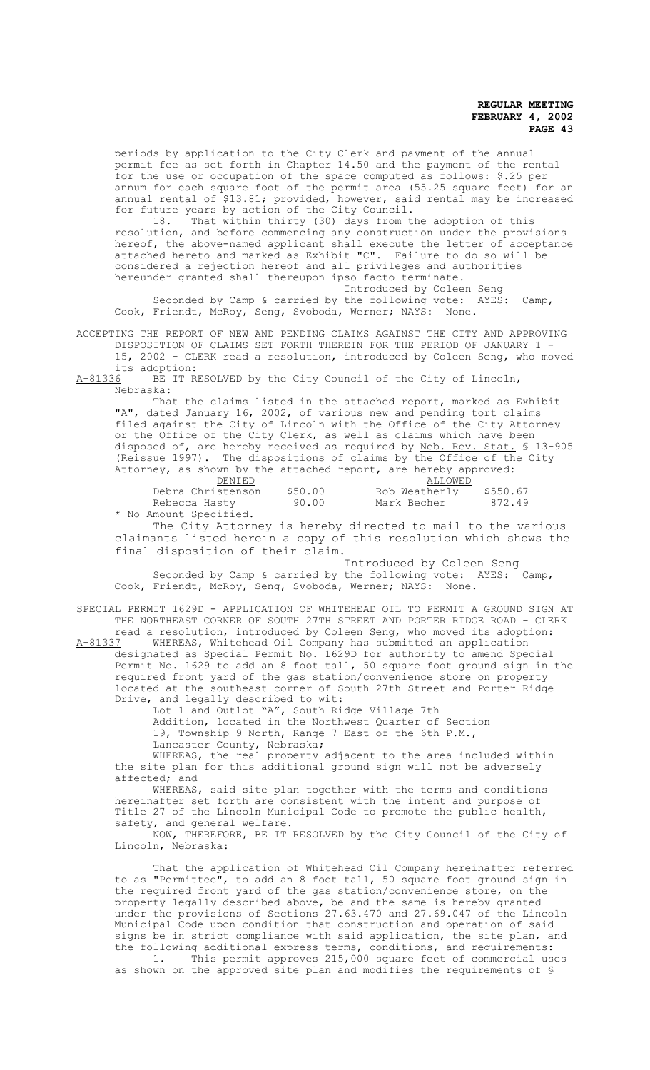periods by application to the City Clerk and payment of the annual permit fee as set forth in Chapter 14.50 and the payment of the rental for the use or occupation of the space computed as follows: \$.25 per annum for each square foot of the permit area (55.25 square feet) for an annual rental of \$13.81; provided, however, said rental may be increased for future years by action of the City Council.

18. That within thirty (30) days from the adoption of this resolution, and before commencing any construction under the provisions hereof, the above-named applicant shall execute the letter of acceptance attached hereto and marked as Exhibit "C". Failure to do so will be considered a rejection hereof and all privileges and authorities hereunder granted shall thereupon ipso facto terminate.

Introduced by Coleen Seng Seconded by Camp & carried by the following vote: AYES: Camp, Cook, Friendt, McRoy, Seng, Svoboda, Werner; NAYS: None.

ACCEPTING THE REPORT OF NEW AND PENDING CLAIMS AGAINST THE CITY AND APPROVING DISPOSITION OF CLAIMS SET FORTH THEREIN FOR THE PERIOD OF JANUARY 1 -

15, 2002 - CLERK read a resolution, introduced by Coleen Seng, who moved

its adoption:<br>A-81336 BE IT R BE IT RESOLVED by the City Council of the City of Lincoln, Nebraska:

That the claims listed in the attached report, marked as Exhibit "A", dated January 16, 2002, of various new and pending tort claims filed against the City of Lincoln with the Office of the City Attorney or the Office of the City Clerk, as well as claims which have been disposed of, are hereby received as required by <u>Neb. Rev. Stat.</u> § 13-905 (Reissue 1997). The dispositions of claims by the Office of the City Attorney, as shown by the attached report, are hereby approved:

| DENIED                 |         | ALLOWED       |          |
|------------------------|---------|---------------|----------|
| Debra Christenson      | \$50.00 | Rob Weatherly | \$550.67 |
| Rebecca Hasty          | 90.00   | Mark Becher   | 872.49   |
| * No Amount Specified. |         |               |          |

The City Attorney is hereby directed to mail to the various claimants listed herein a copy of this resolution which shows the final disposition of their claim.

 Introduced by Coleen Seng Seconded by Camp & carried by the following vote: AYES: Camp, Cook, Friendt, McRoy, Seng, Svoboda, Werner; NAYS: None.

SPECIAL PERMIT 1629D - APPLICATION OF WHITEHEAD OIL TO PERMIT A GROUND SIGN AT THE NORTHEAST CORNER OF SOUTH 27TH STREET AND PORTER RIDGE ROAD - CLERK

read a resolution, introduced by Coleen Seng, who moved its adoption:<br>A-81337 WHEREAS, Whitehead Oil Company has submitted an application A-81337 WHEREAS, Whitehead Oil Company has submitted an application designated as Special Permit No. 1629D for authority to amend Special Permit No. 1629 to add an 8 foot tall, 50 square foot ground sign in the required front yard of the gas station/convenience store on property located at the southeast corner of South 27th Street and Porter Ridge Drive, and legally described to wit:

Lot 1 and Outlot "A", South Ridge Village 7th Addition, located in the Northwest Quarter of Section 19, Township 9 North, Range 7 East of the 6th P.M.,

Lancaster County, Nebraska;

WHEREAS, the real property adjacent to the area included within the site plan for this additional ground sign will not be adversely affected; and

WHEREAS, said site plan together with the terms and conditions hereinafter set forth are consistent with the intent and purpose of Title 27 of the Lincoln Municipal Code to promote the public health, safety, and general welfare.

NOW, THEREFORE, BE IT RESOLVED by the City Council of the City of Lincoln, Nebraska:

That the application of Whitehead Oil Company hereinafter referred to as "Permittee", to add an 8 foot tall, 50 square foot ground sign in the required front yard of the gas station/convenience store, on the property legally described above, be and the same is hereby granted under the provisions of Sections 27.63.470 and 27.69.047 of the Lincoln Municipal Code upon condition that construction and operation of said signs be in strict compliance with said application, the site plan, and the following additional express terms, conditions, and requirements: 1. This permit approves 215,000 square feet of commercial uses as shown on the approved site plan and modifies the requirements of §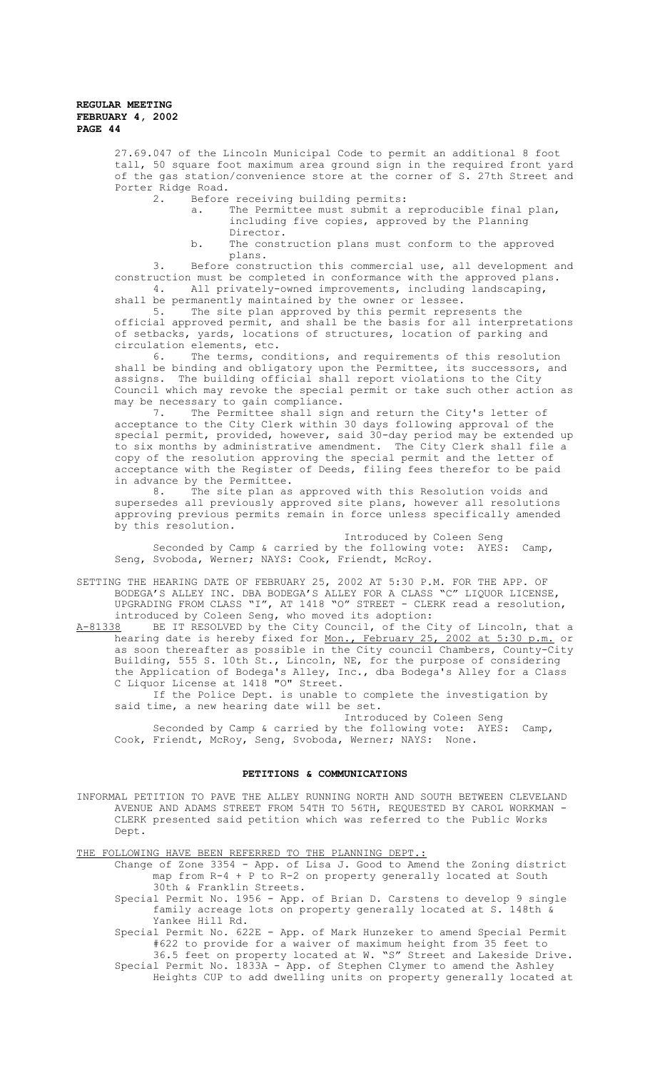> 27.69.047 of the Lincoln Municipal Code to permit an additional 8 foot tall, 50 square foot maximum area ground sign in the required front yard of the gas station/convenience store at the corner of S. 27th Street and Porter Ridge Road.

- 2. Before receiving building permits:
	- a. The Permittee must submit a reproducible final plan, including five copies, approved by the Planning Director.
	- b. The construction plans must conform to the approved plans.

3. Before construction this commercial use, all development and construction must be completed in conformance with the approved plans. 4. All privately-owned improvements, including landscaping, shall be permanently maintained by the owner or lessee.

5. The site plan approved by this permit represents the official approved permit, and shall be the basis for all interpretations of setbacks, yards, locations of structures, location of parking and circulation elements, etc.<br>6. The terms, con

The terms, conditions, and requirements of this resolution shall be binding and obligatory upon the Permittee, its successors, and assigns. The building official shall report violations to the City Council which may revoke the special permit or take such other action as may be necessary to gain compliance.

7. The Permittee shall sign and return the City's letter of acceptance to the City Clerk within 30 days following approval of the special permit, provided, however, said 30-day period may be extended up to six months by administrative amendment. The City Clerk shall file a copy of the resolution approving the special permit and the letter of acceptance with the Register of Deeds, filing fees therefor to be paid in advance by the Permittee.<br>8. The site plan as

The site plan as approved with this Resolution voids and supersedes all previously approved site plans, however all resolutions approving previous permits remain in force unless specifically amended by this resolution.

Introduced by Coleen Seng Seconded by Camp & carried by the following vote: AYES: Camp, Seng, Svoboda, Werner; NAYS: Cook, Friendt, McRoy.

SETTING THE HEARING DATE OF FEBRUARY 25, 2002 AT 5:30 P.M. FOR THE APP. OF BODEGA'S ALLEY INC. DBA BODEGA'S ALLEY FOR A CLASS "C" LIQUOR LICENSE, UPGRADING FROM CLASS "I", AT 1418 "O" STREET - CLERK read a resolution, introduced by Coleen Seng, who moved its adoption:<br>A-81338 BE IT RESOLVED by the City Council, of the C

BE IT RESOLVED by the City Council, of the City of Lincoln, that a hearing date is hereby fixed for <u>Mon., February 25, 2002 at 5:30 p.m.</u> or as soon thereafter as possible in the City council Chambers, County-City Building, 555 S. 10th St., Lincoln, NE, for the purpose of considering the Application of Bodega's Alley, Inc., dba Bodega's Alley for a Class C Liquor License at 1418 "O" Street.

If the Police Dept. is unable to complete the investigation by said time, a new hearing date will be set.

Introduced by Coleen Seng Seconded by Camp & carried by the following vote: AYES: Camp, Cook, Friendt, McRoy, Seng, Svoboda, Werner; NAYS: None.

### **PETITIONS & COMMUNICATIONS**

INFORMAL PETITION TO PAVE THE ALLEY RUNNING NORTH AND SOUTH BETWEEN CLEVELAND AVENUE AND ADAMS STREET FROM 54TH TO 56TH, REQUESTED BY CAROL WORKMAN - CLERK presented said petition which was referred to the Public Works Dept.

THE FOLLOWING HAVE BEEN REFERRED TO THE PLANNING DEPT.:

- Change of Zone 3354 App. of Lisa J. Good to Amend the Zoning district map from R-4 + P to R-2 on property generally located at South 30th & Franklin Streets.
- Special Permit No. 1956 App. of Brian D. Carstens to develop 9 single family acreage lots on property generally located at S. 148th & Yankee Hill Rd.

Special Permit No. 622E - App. of Mark Hunzeker to amend Special Permit #622 to provide for a waiver of maximum height from 35 feet to

36.5 feet on property located at W. "S" Street and Lakeside Drive. Special Permit No. 1833A - App. of Stephen Clymer to amend the Ashley Heights CUP to add dwelling units on property generally located at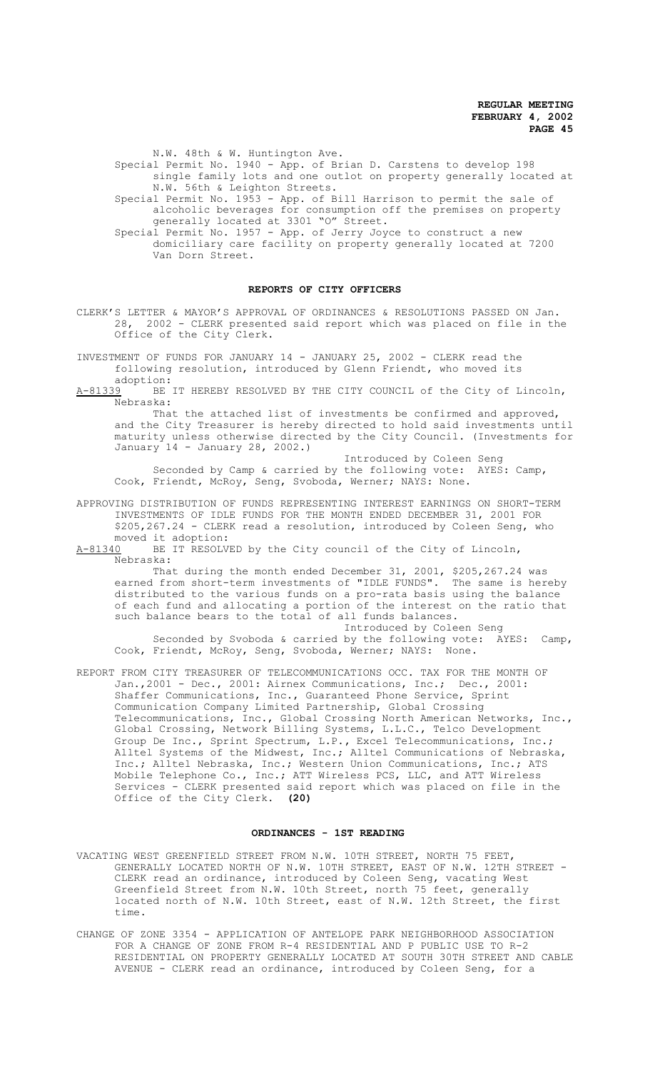N.W. 48th & W. Huntington Ave.

Special Permit No. 1940 - App. of Brian D. Carstens to develop 198 single family lots and one outlot on property generally located at N.W. 56th & Leighton Streets.

Special Permit No. 1953 - App. of Bill Harrison to permit the sale of alcoholic beverages for consumption off the premises on property generally located at 3301 "O" Street.

Special Permit No. 1957 - App. of Jerry Joyce to construct a new domiciliary care facility on property generally located at 7200 Van Dorn Street.

#### **REPORTS OF CITY OFFICERS**

CLERK'S LETTER & MAYOR'S APPROVAL OF ORDINANCES & RESOLUTIONS PASSED ON Jan. 28, 2002 - CLERK presented said report which was placed on file in the Office of the City Clerk.

INVESTMENT OF FUNDS FOR JANUARY 14 - JANUARY 25, 2002 - CLERK read the following resolution, introduced by Glenn Friendt, who moved its

adoption:<br><u>A-81339</u> BE BE IT HEREBY RESOLVED BY THE CITY COUNCIL of the City of Lincoln, Nebraska:

That the attached list of investments be confirmed and approved, and the City Treasurer is hereby directed to hold said investments until maturity unless otherwise directed by the City Council. (Investments for January 14 - January 28, 2002.)

Introduced by Coleen Seng Seconded by Camp & carried by the following vote: AYES: Camp, Cook, Friendt, McRoy, Seng, Svoboda, Werner; NAYS: None.

APPROVING DISTRIBUTION OF FUNDS REPRESENTING INTEREST EARNINGS ON SHORT-TERM INVESTMENTS OF IDLE FUNDS FOR THE MONTH ENDED DECEMBER 31, 2001 FOR \$205,267.24 - CLERK read a resolution, introduced by Coleen Seng, who moved it adoption:

A-81340 BE IT RESOLVED by the City council of the City of Lincoln, Nebraska:

That during the month ended December 31, 2001, \$205,267.24 was earned from short-term investments of "IDLE FUNDS". The same is hereby distributed to the various funds on a pro-rata basis using the balance of each fund and allocating a portion of the interest on the ratio that such balance bears to the total of all funds balances.

Introduced by Coleen Seng Seconded by Svoboda & carried by the following vote: AYES: Camp, Cook, Friendt, McRoy, Seng, Svoboda, Werner; NAYS: None.

REPORT FROM CITY TREASURER OF TELECOMMUNICATIONS OCC. TAX FOR THE MONTH OF Jan.,2001 - Dec., 2001: Airnex Communications, Inc.; Dec., 2001: Shaffer Communications, Inc., Guaranteed Phone Service, Sprint Communication Company Limited Partnership, Global Crossing Telecommunications, Inc., Global Crossing North American Networks, Inc., Global Crossing, Network Billing Systems, L.L.C., Telco Development Group De Inc., Sprint Spectrum, L.P.**,** Excel Telecommunications, Inc.; Alltel Systems of the Midwest, Inc.; Alltel Communications of Nebraska, Inc.; Alltel Nebraska, Inc.; Western Union Communications, Inc.; ATS Mobile Telephone Co., Inc.; ATT Wireless PCS, LLC, and ATT Wireless Services - CLERK presented said report which was placed on file in the Office of the City Clerk. **(20)**

#### **ORDINANCES - 1ST READING**

- VACATING WEST GREENFIELD STREET FROM N.W. 10TH STREET, NORTH 75 FEET, GENERALLY LOCATED NORTH OF N.W. 10TH STREET, EAST OF N.W. 12TH STREET - CLERK read an ordinance, introduced by Coleen Seng, vacating West Greenfield Street from N.W. 10th Street, north 75 feet, generally located north of N.W. 10th Street, east of N.W. 12th Street, the first time.
- CHANGE OF ZONE 3354 APPLICATION OF ANTELOPE PARK NEIGHBORHOOD ASSOCIATION FOR A CHANGE OF ZONE FROM R-4 RESIDENTIAL AND P PUBLIC USE TO R-2 RESIDENTIAL ON PROPERTY GENERALLY LOCATED AT SOUTH 30TH STREET AND CABLE AVENUE - CLERK read an ordinance, introduced by Coleen Seng, for a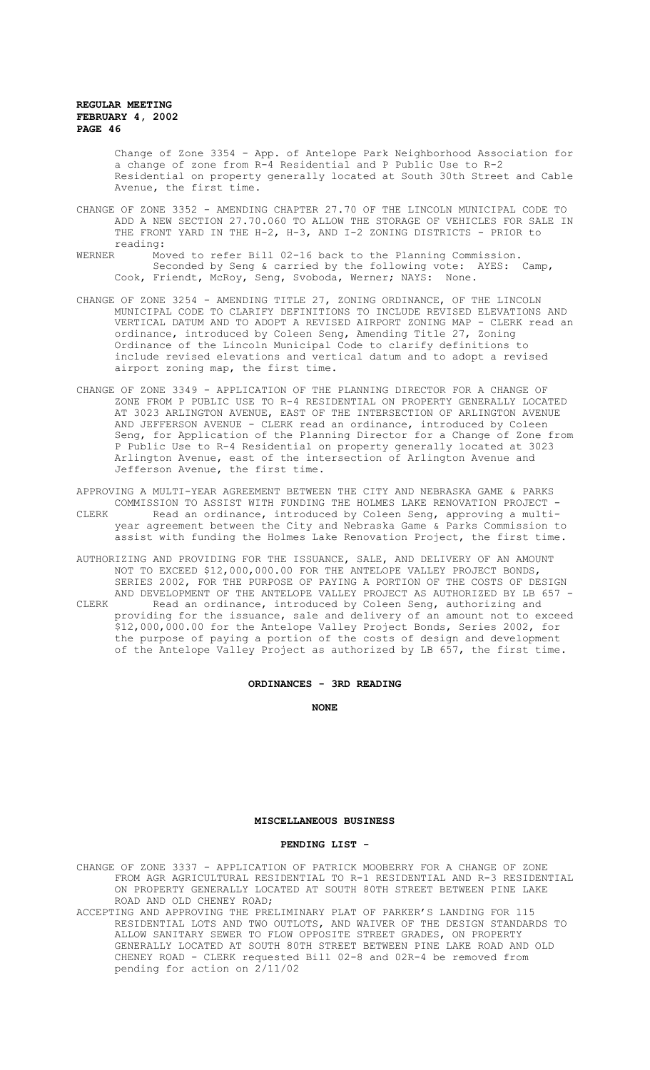Change of Zone 3354 - App. of Antelope Park Neighborhood Association for a change of zone from R-4 Residential and P Public Use to R-2 Residential on property generally located at South 30th Street and Cable Avenue, the first time.

- CHANGE OF ZONE 3352 AMENDING CHAPTER 27.70 OF THE LINCOLN MUNICIPAL CODE TO ADD A NEW SECTION 27.70.060 TO ALLOW THE STORAGE OF VEHICLES FOR SALE IN THE FRONT YARD IN THE H-2, H-3, AND I-2 ZONING DISTRICTS - PRIOR to
- reading:<br>WERNER MOV Moved to refer Bill 02-16 back to the Planning Commission. Seconded by Seng & carried by the following vote: AYES: Camp, Cook, Friendt, McRoy, Seng, Svoboda, Werner; NAYS: None.
- CHANGE OF ZONE 3254 AMENDING TITLE 27, ZONING ORDINANCE, OF THE LINCOLN MUNICIPAL CODE TO CLARIFY DEFINITIONS TO INCLUDE REVISED ELEVATIONS AND VERTICAL DATUM AND TO ADOPT A REVISED AIRPORT ZONING MAP - CLERK read an ordinance, introduced by Coleen Seng, Amending Title 27, Zoning Ordinance of the Lincoln Municipal Code to clarify definitions to include revised elevations and vertical datum and to adopt a revised airport zoning map, the first time.
- CHANGE OF ZONE 3349 APPLICATION OF THE PLANNING DIRECTOR FOR A CHANGE OF ZONE FROM P PUBLIC USE TO R-4 RESIDENTIAL ON PROPERTY GENERALLY LOCATED AT 3023 ARLINGTON AVENUE, EAST OF THE INTERSECTION OF ARLINGTON AVENUE AND JEFFERSON AVENUE - CLERK read an ordinance, introduced by Coleen Seng, for Application of the Planning Director for a Change of Zone from P Public Use to R-4 Residential on property generally located at 3023 Arlington Avenue, east of the intersection of Arlington Avenue and Jefferson Avenue, the first time.
- APPROVING A MULTI-YEAR AGREEMENT BETWEEN THE CITY AND NEBRASKA GAME & PARKS COMMISSION TO ASSIST WITH FUNDING THE HOLMES LAKE RENOVATION PROJECT - CLERK Read an ordinance, introduced by Coleen Seng, approving a multiyear agreement between the City and Nebraska Game & Parks Commission to assist with funding the Holmes Lake Renovation Project, the first time.
- AUTHORIZING AND PROVIDING FOR THE ISSUANCE, SALE, AND DELIVERY OF AN AMOUNT NOT TO EXCEED \$12,000,000.00 FOR THE ANTELOPE VALLEY PROJECT BONDS, SERIES 2002, FOR THE PURPOSE OF PAYING A PORTION OF THE COSTS OF DESIGN AND DEVELOPMENT OF THE ANTELOPE VALLEY PROJECT AS AUTHORIZED BY LB 657 - CLERK Read an ordinance, introduced by Coleen Seng, authorizing and providing for the issuance, sale and delivery of an amount not to exceed \$12,000,000.00 for the Antelope Valley Project Bonds, Series 2002, for the purpose of paying a portion of the costs of design and development of the Antelope Valley Project as authorized by LB 657, the first time.

#### **ORDINANCES - 3RD READING**

**NONE**

#### **MISCELLANEOUS BUSINESS**

#### **PENDING LIST -**

CHANGE OF ZONE 3337 - APPLICATION OF PATRICK MOOBERRY FOR A CHANGE OF ZONE FROM AGR AGRICULTURAL RESIDENTIAL TO R-1 RESIDENTIAL AND R-3 RESIDENTIAL ON PROPERTY GENERALLY LOCATED AT SOUTH 80TH STREET BETWEEN PINE LAKE ROAD AND OLD CHENEY ROAD;

ACCEPTING AND APPROVING THE PRELIMINARY PLAT OF PARKER'S LANDING FOR 115 RESIDENTIAL LOTS AND TWO OUTLOTS, AND WAIVER OF THE DESIGN STANDARDS TO ALLOW SANITARY SEWER TO FLOW OPPOSITE STREET GRADES, ON PROPERTY GENERALLY LOCATED AT SOUTH 80TH STREET BETWEEN PINE LAKE ROAD AND OLD CHENEY ROAD - CLERK requested Bill 02-8 and 02R-4 be removed from pending for action on 2/11/02